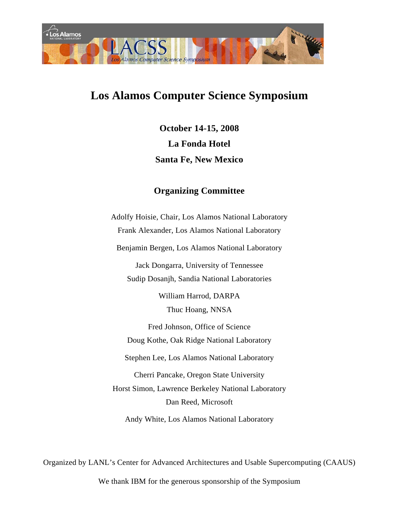

# **Los Alamos Computer Science Symposium**

**October 14-15, 2008 La Fonda Hotel Santa Fe, New Mexico** 

### **Organizing Committee**

Adolfy Hoisie, Chair, Los Alamos National Laboratory Frank Alexander, Los Alamos National Laboratory Benjamin Bergen, Los Alamos National Laboratory Jack Dongarra, University of Tennessee Sudip Dosanjh, Sandia National Laboratories William Harrod, DARPA Thuc Hoang, NNSA Fred Johnson, Office of Science Doug Kothe, Oak Ridge National Laboratory Stephen Lee, Los Alamos National Laboratory

Cherri Pancake, Oregon State University Horst Simon, Lawrence Berkeley National Laboratory Dan Reed, Microsoft

Andy White, Los Alamos National Laboratory

Organized by LANL's Center for Advanced Architectures and Usable Supercomputing (CAAUS)

We thank IBM for the generous sponsorship of the Symposium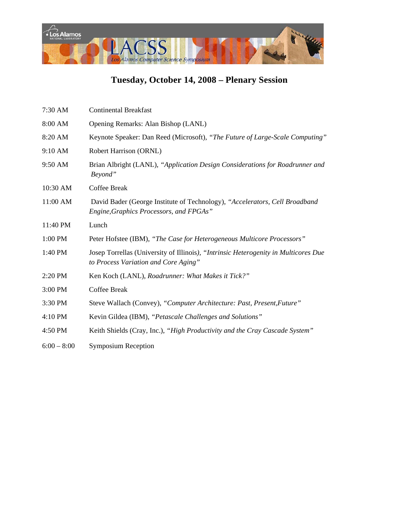

## **Tuesday, October 14, 2008 – Plenary Session**

| 7:30 AM       | <b>Continental Breakfast</b>                                                                                                |
|---------------|-----------------------------------------------------------------------------------------------------------------------------|
| 8:00 AM       | Opening Remarks: Alan Bishop (LANL)                                                                                         |
| 8:20 AM       | Keynote Speaker: Dan Reed (Microsoft), "The Future of Large-Scale Computing"                                                |
| 9:10 AM       | Robert Harrison (ORNL)                                                                                                      |
| 9:50 AM       | Brian Albright (LANL), "Application Design Considerations for Roadrunner and<br>Beyond"                                     |
| 10:30 AM      | <b>Coffee Break</b>                                                                                                         |
| 11:00 AM      | David Bader (George Institute of Technology), "Accelerators, Cell Broadband<br>Engine, Graphics Processors, and FPGAs"      |
| 11:40 PM      | Lunch                                                                                                                       |
| 1:00 PM       | Peter Hofstee (IBM), "The Case for Heterogeneous Multicore Processors"                                                      |
| 1:40 PM       | Josep Torrellas (University of Illinois), "Intrinsic Heterogenity in Multicores Due<br>to Process Variation and Core Aging" |
| 2:20 PM       | Ken Koch (LANL), Roadrunner: What Makes it Tick?"                                                                           |
| 3:00 PM       | <b>Coffee Break</b>                                                                                                         |
| 3:30 PM       | Steve Wallach (Convey), "Computer Architecture: Past, Present, Future"                                                      |
| 4:10 PM       | Kevin Gildea (IBM), "Petascale Challenges and Solutions"                                                                    |
| 4:50 PM       | Keith Shields (Cray, Inc.), "High Productivity and the Cray Cascade System"                                                 |
| $6:00 - 8:00$ | <b>Symposium Reception</b>                                                                                                  |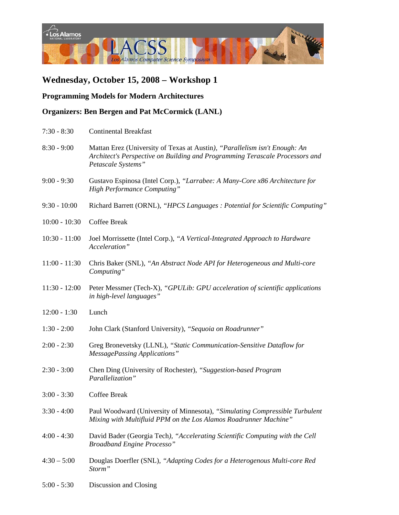

#### **Programming Models for Modern Architectures**

#### **Organizers: Ben Bergen and Pat McCormick (LANL)**

| $7:30 - 8:30$   | <b>Continental Breakfast</b>                                                                                                                                                     |
|-----------------|----------------------------------------------------------------------------------------------------------------------------------------------------------------------------------|
| $8:30 - 9:00$   | Mattan Erez (University of Texas at Austin), "Parallelism isn't Enough: An<br>Architect's Perspective on Building and Programming Terascale Processors and<br>Petascale Systems" |
| $9:00 - 9:30$   | Gustavo Espinosa (Intel Corp.), "Larrabee: A Many-Core x86 Architecture for<br><b>High Performance Computing"</b>                                                                |
| $9:30 - 10:00$  | Richard Barrett (ORNL), "HPCS Languages : Potential for Scientific Computing"                                                                                                    |
| $10:00 - 10:30$ | <b>Coffee Break</b>                                                                                                                                                              |
| $10:30 - 11:00$ | Joel Morrissette (Intel Corp.), "A Vertical-Integrated Approach to Hardware<br>Acceleration"                                                                                     |
| $11:00 - 11:30$ | Chris Baker (SNL), "An Abstract Node API for Heterogeneous and Multi-core<br>Computing"                                                                                          |
| $11:30 - 12:00$ | Peter Messmer (Tech-X), "GPULib: GPU acceleration of scientific applications<br>in high-level languages"                                                                         |
| $12:00 - 1:30$  | Lunch                                                                                                                                                                            |
| $1:30 - 2:00$   | John Clark (Stanford University), "Sequoia on Roadrunner"                                                                                                                        |
| $2:00 - 2:30$   | Greg Bronevetsky (LLNL), "Static Communication-Sensitive Dataflow for<br><b>MessagePassing Applications"</b>                                                                     |
| $2:30 - 3:00$   | Chen Ding (University of Rochester), "Suggestion-based Program<br>Parallelization"                                                                                               |
| $3:00 - 3:30$   | <b>Coffee Break</b>                                                                                                                                                              |
| $3:30 - 4:00$   | Paul Woodward (University of Minnesota), "Simulating Compressible Turbulent<br>Mixing with Multifluid PPM on the Los Alamos Roadrunner Machine"                                  |
| $4:00 - 4:30$   | David Bader (Georgia Tech), "Accelerating Scientific Computing with the Cell<br><b>Broadband Engine Processo"</b>                                                                |
| $4:30 - 5:00$   | Douglas Doerfler (SNL), "Adapting Codes for a Heterogenous Multi-core Red<br>Storm"                                                                                              |
| $5:00 - 5:30$   | Discussion and Closing                                                                                                                                                           |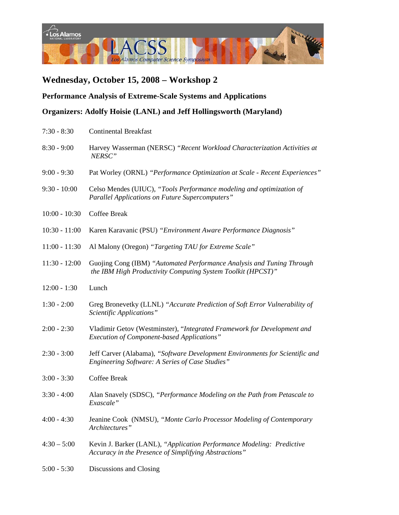

#### **Performance Analysis of Extreme-Scale Systems and Applications**

**Organizers: Adolfy Hoisie (LANL) and Jeff Hollingsworth (Maryland)** 

| $7:30 - 8:30$   | <b>Continental Breakfast</b>                                                                                                           |
|-----------------|----------------------------------------------------------------------------------------------------------------------------------------|
| $8:30 - 9:00$   | Harvey Wasserman (NERSC) "Recent Workload Characterization Activities at<br>NERSC"                                                     |
| $9:00 - 9:30$   | Pat Worley (ORNL) "Performance Optimization at Scale - Recent Experiences"                                                             |
| $9:30 - 10:00$  | Celso Mendes (UIUC), "Tools Performance modeling and optimization of<br><b>Parallel Applications on Future Supercomputers"</b>         |
| $10:00 - 10:30$ | <b>Coffee Break</b>                                                                                                                    |
| $10:30 - 11:00$ | Karen Karavanic (PSU) "Environment Aware Performance Diagnosis"                                                                        |
| $11:00 - 11:30$ | Al Malony (Oregon) "Targeting TAU for Extreme Scale"                                                                                   |
| $11:30 - 12:00$ | Guojing Cong (IBM) "Automated Performance Analysis and Tuning Through<br>the IBM High Productivity Computing System Toolkit (HPCST)"   |
| $12:00 - 1:30$  | Lunch                                                                                                                                  |
| $1:30 - 2:00$   | Greg Bronevetky (LLNL) "Accurate Prediction of Soft Error Vulnerability of<br>Scientific Applications"                                 |
| $2:00 - 2:30$   | Vladimir Getov (Westminster), "Integrated Framework for Development and<br><b>Execution of Component-based Applications</b> "          |
| $2:30 - 3:00$   | Jeff Carver (Alabama), "Software Development Environments for Scientific and<br><b>Engineering Software: A Series of Case Studies"</b> |
| $3:00 - 3:30$   | <b>Coffee Break</b>                                                                                                                    |
| $3:30 - 4:00$   | Alan Snavely (SDSC), "Performance Modeling on the Path from Petascale to<br>Exascale"                                                  |
| $4:00 - 4:30$   | Jeanine Cook (NMSU), "Monte Carlo Processor Modeling of Contemporary<br>Architectures"                                                 |
| $4:30 - 5:00$   | Kevin J. Barker (LANL), "Application Performance Modeling: Predictive<br>Accuracy in the Presence of Simplifying Abstractions"         |
| $5:00 - 5:30$   | Discussions and Closing                                                                                                                |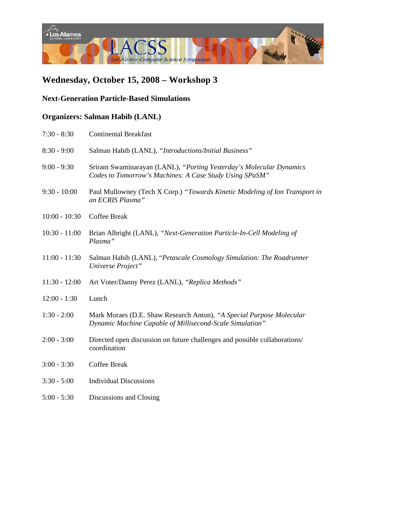

#### **Next-Generation Particle-Based Simulations**

### **Organizers: Salman Habib (LANL)**

| $7:30 - 8:30$   | <b>Continental Breakfast</b>                                                                                                     |
|-----------------|----------------------------------------------------------------------------------------------------------------------------------|
| $8:30 - 9:00$   | Salman Habib (LANL), "Introductions/Initial Business"                                                                            |
| $9:00 - 9:30$   | Sriram Swaminarayan (LANL), "Porting Yesterday's Molecular Dynamics<br>Codes to Tomorrow's Machines: A Case Study Using SPaSM"   |
| $9:30 - 10:00$  | Paul Mullowney (Tech X Corp.) "Towards Kinetic Modeling of Ion Transport in<br>an ECRIS Plasma"                                  |
| $10:00 - 10:30$ | Coffee Break                                                                                                                     |
| $10:30 - 11:00$ | Brian Albright (LANL), "Next-Generation Particle-In-Cell Modeling of<br>Plasma"                                                  |
| $11:00 - 11:30$ | Salman Habib (LANL), "Petascale Cosmology Simulation: The Roadrunner<br>Universe Project"                                        |
| $11:30 - 12:00$ | Art Voter/Danny Perez (LANL), "Replica Methods"                                                                                  |
| $12:00 - 1:30$  | Lunch                                                                                                                            |
| $1:30 - 2:00$   | Mark Moraes (D.E. Shaw Research Anton), "A Special Purpose Molecular<br>Dynamic Machine Capable of Millisecond-Scale Simulation" |
| $2:00 - 3:00$   | Directed open discussion on future challenges and possible collaborations/<br>coordination                                       |
| $3:00 - 3:30$   | <b>Coffee Break</b>                                                                                                              |
| $3:30 - 5:00$   | <b>Individual Discussions</b>                                                                                                    |
| $5:00 - 5:30$   | Discussions and Closing                                                                                                          |